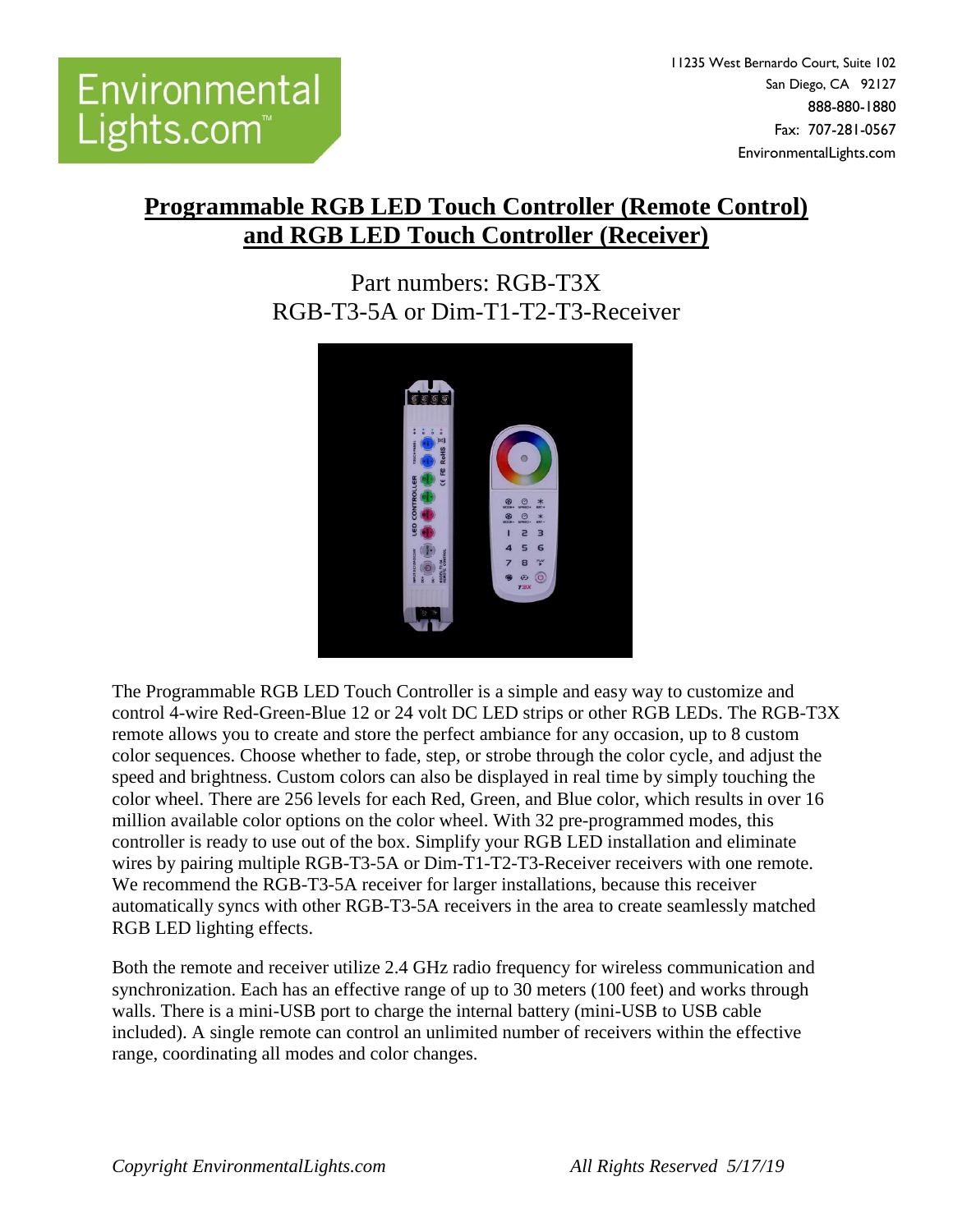11235 West Bernardo Court, Suite 102 San Diego, CA 92127 888-880-1880 Fax: 707-281-0567 EnvironmentalLights.com

## **Programmable RGB LED Touch Controller (Remote Control) and RGB LED Touch Controller (Receiver)**

## Part numbers: RGB-T3X RGB-T3-5A or Dim-T1-T2-T3-Receiver



The Programmable RGB LED Touch Controller is a simple and easy way to customize and control 4-wire Red-Green-Blue 12 or 24 volt DC LED strips or other RGB LEDs. The RGB-T3X remote allows you to create and store the perfect ambiance for any occasion, up to 8 custom color sequences. Choose whether to fade, step, or strobe through the color cycle, and adjust the speed and brightness. Custom colors can also be displayed in real time by simply touching the color wheel. There are 256 levels for each Red, Green, and Blue color, which results in over 16 million available color options on the color wheel. With 32 pre-programmed modes, this controller is ready to use out of the box. Simplify your RGB LED installation and eliminate wires by pairing multiple RGB-T3-5A or Dim-T1-T2-T3-Receiver receivers with one remote. We recommend the RGB-T3-5A receiver for larger installations, because this receiver automatically syncs with other RGB-T3-5A receivers in the area to create seamlessly matched RGB LED lighting effects.

Both the remote and receiver utilize 2.4 GHz radio frequency for wireless communication and synchronization. Each has an effective range of up to 30 meters (100 feet) and works through walls. There is a mini-USB port to charge the internal battery (mini-USB to USB cable included). A single remote can control an unlimited number of receivers within the effective range, coordinating all modes and color changes.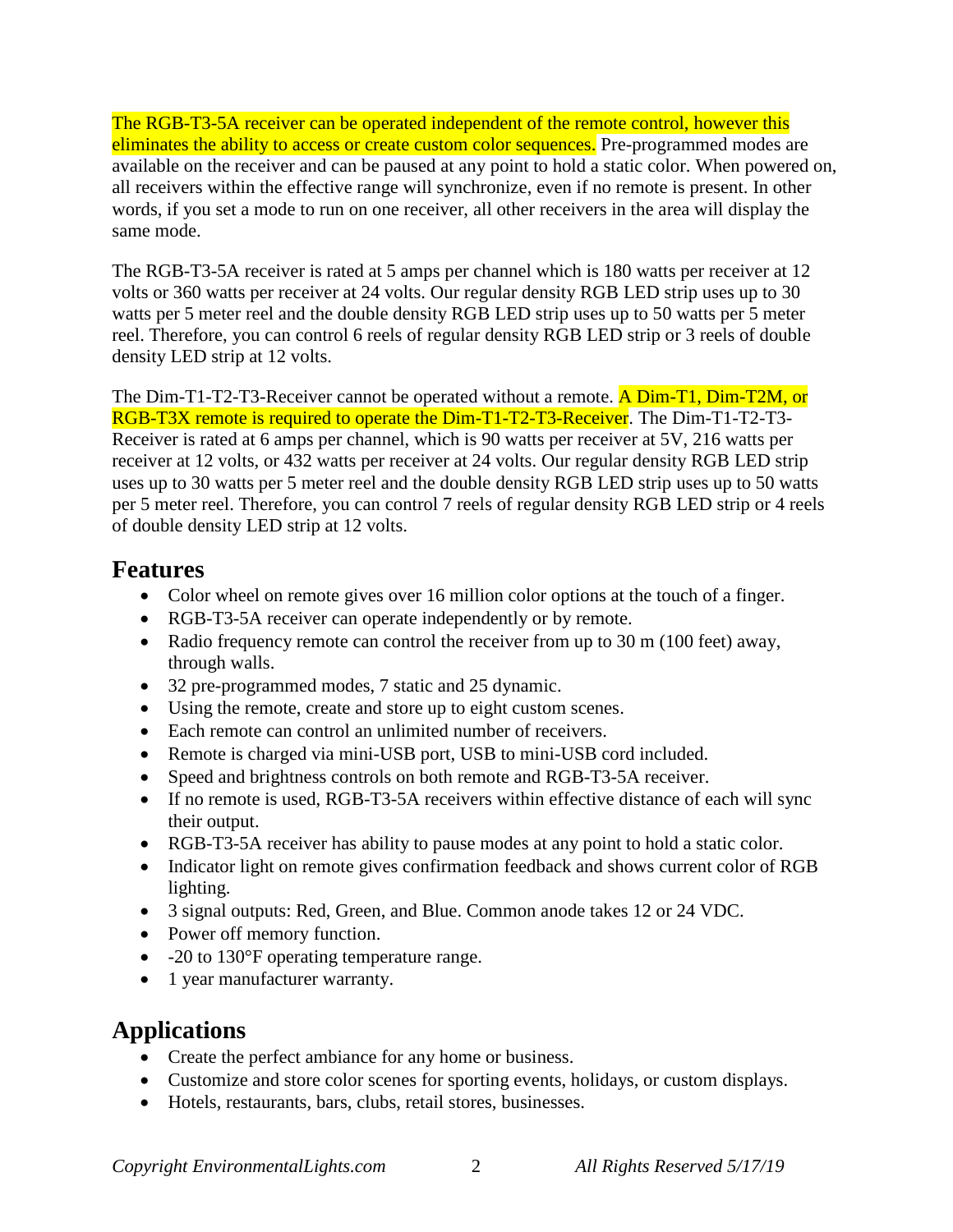The RGB-T3-5A receiver can be operated independent of the remote control, however this eliminates the ability to access or create custom color sequences. Pre-programmed modes are available on the receiver and can be paused at any point to hold a static color. When powered on, all receivers within the effective range will synchronize, even if no remote is present. In other words, if you set a mode to run on one receiver, all other receivers in the area will display the same mode.

The RGB-T3-5A receiver is rated at 5 amps per channel which is 180 watts per receiver at 12 volts or 360 watts per receiver at 24 volts. Our regular density RGB LED strip uses up to 30 watts per 5 meter reel and the double density RGB LED strip uses up to 50 watts per 5 meter reel. Therefore, you can control 6 reels of regular density RGB LED strip or 3 reels of double density LED strip at 12 volts.

The Dim-T1-T2-T3-Receiver cannot be operated without a remote. A Dim-T1, Dim-T2M, or RGB-T3X remote is required to operate the Dim-T1-T2-T3-Receiver. The Dim-T1-T2-T3- Receiver is rated at 6 amps per channel, which is 90 watts per receiver at 5V, 216 watts per receiver at 12 volts, or 432 watts per receiver at 24 volts. Our regular density RGB LED strip uses up to 30 watts per 5 meter reel and the double density RGB LED strip uses up to 50 watts per 5 meter reel. Therefore, you can control 7 reels of regular density RGB LED strip or 4 reels of double density LED strip at 12 volts.

### **Features**

- Color wheel on remote gives over 16 million color options at the touch of a finger.
- RGB-T3-5A receiver can operate independently or by remote.
- Radio frequency remote can control the receiver from up to 30 m (100 feet) away, through walls.
- 32 pre-programmed modes, 7 static and 25 dynamic.
- Using the remote, create and store up to eight custom scenes.
- Each remote can control an unlimited number of receivers.
- Remote is charged via mini-USB port, USB to mini-USB cord included.
- Speed and brightness controls on both remote and RGB-T3-5A receiver.
- If no remote is used, RGB-T3-5A receivers within effective distance of each will sync their output.
- RGB-T3-5A receiver has ability to pause modes at any point to hold a static color.
- Indicator light on remote gives confirmation feedback and shows current color of RGB lighting.
- 3 signal outputs: Red, Green, and Blue. Common anode takes 12 or 24 VDC.
- Power off memory function.
- -20 to 130°F operating temperature range.
- 1 year manufacturer warranty.

# **Applications**

- Create the perfect ambiance for any home or business.
- Customize and store color scenes for sporting events, holidays, or custom displays.
- Hotels, restaurants, bars, clubs, retail stores, businesses.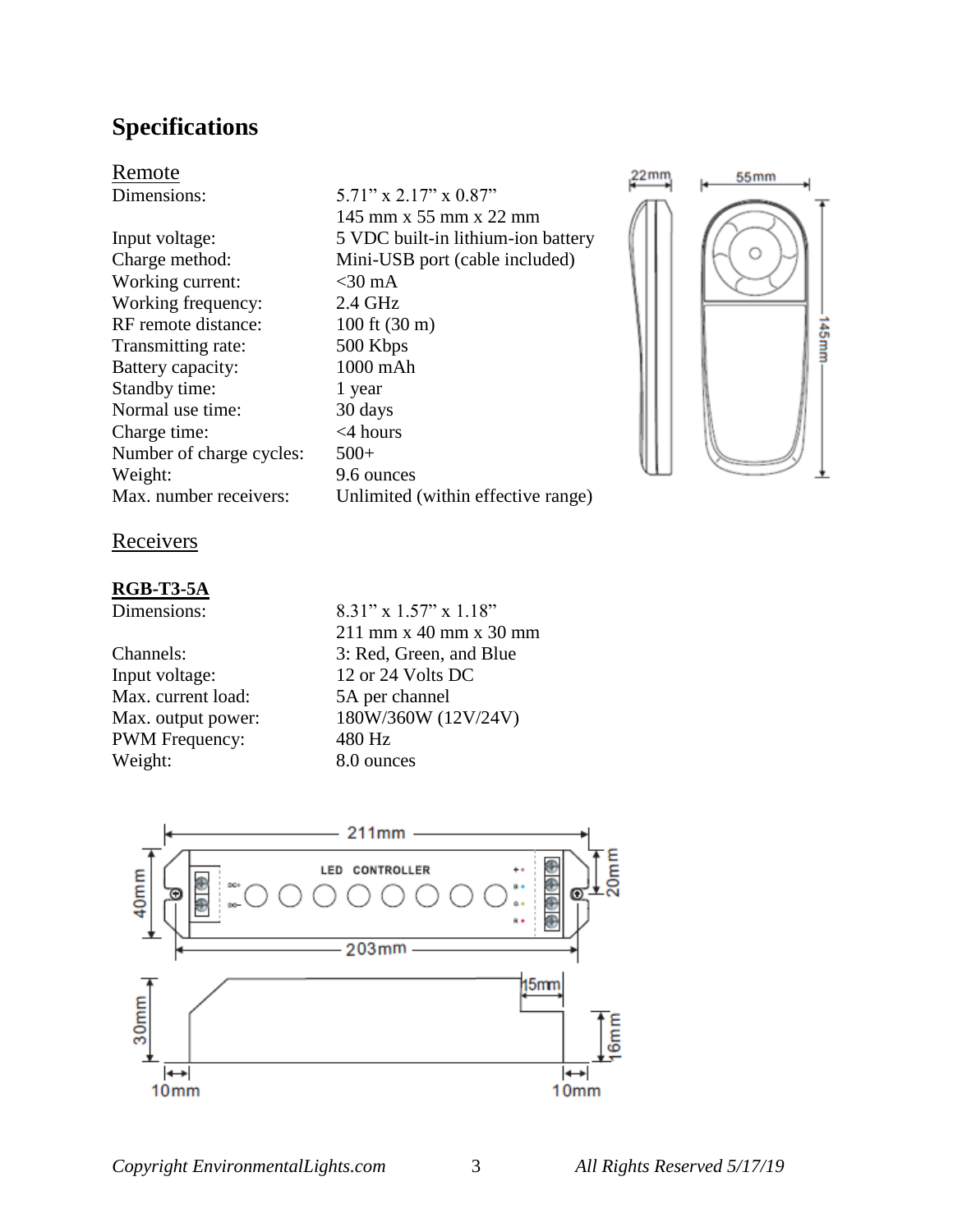## **Specifications**

Remote

Working current:  $\langle 30 \text{ mA} \rangle$ Working frequency: 2.4 GHz RF remote distance: 100 ft (30 m) Transmitting rate: 500 Kbps Battery capacity: 1000 mAh Standby time: 1 year Normal use time: 30 days Charge time: <4 hours Number of charge cycles:  $500+$ Weight: 9.6 ounces Max. number receivers: Unlimited (within effective range)

Dimensions: 5.71" x 2.17" x 0.87" 145 mm x 55 mm x 22 mm Input voltage: 5 VDC built-in lithium-ion battery Charge method: Mini-USB port (cable included)



Receivers

#### **RGB-T3-5A**

Input voltage: 12 or 24 Volts DC Max. current load: 5A per channel PWM Frequency: 480 Hz Weight: 8.0 ounces

Dimensions: 8.31" x 1.57" x 1.18" 211 mm x 40 mm x 30 mm Channels: 3: Red, Green, and Blue Max. output power: 180W/360W (12V/24V)

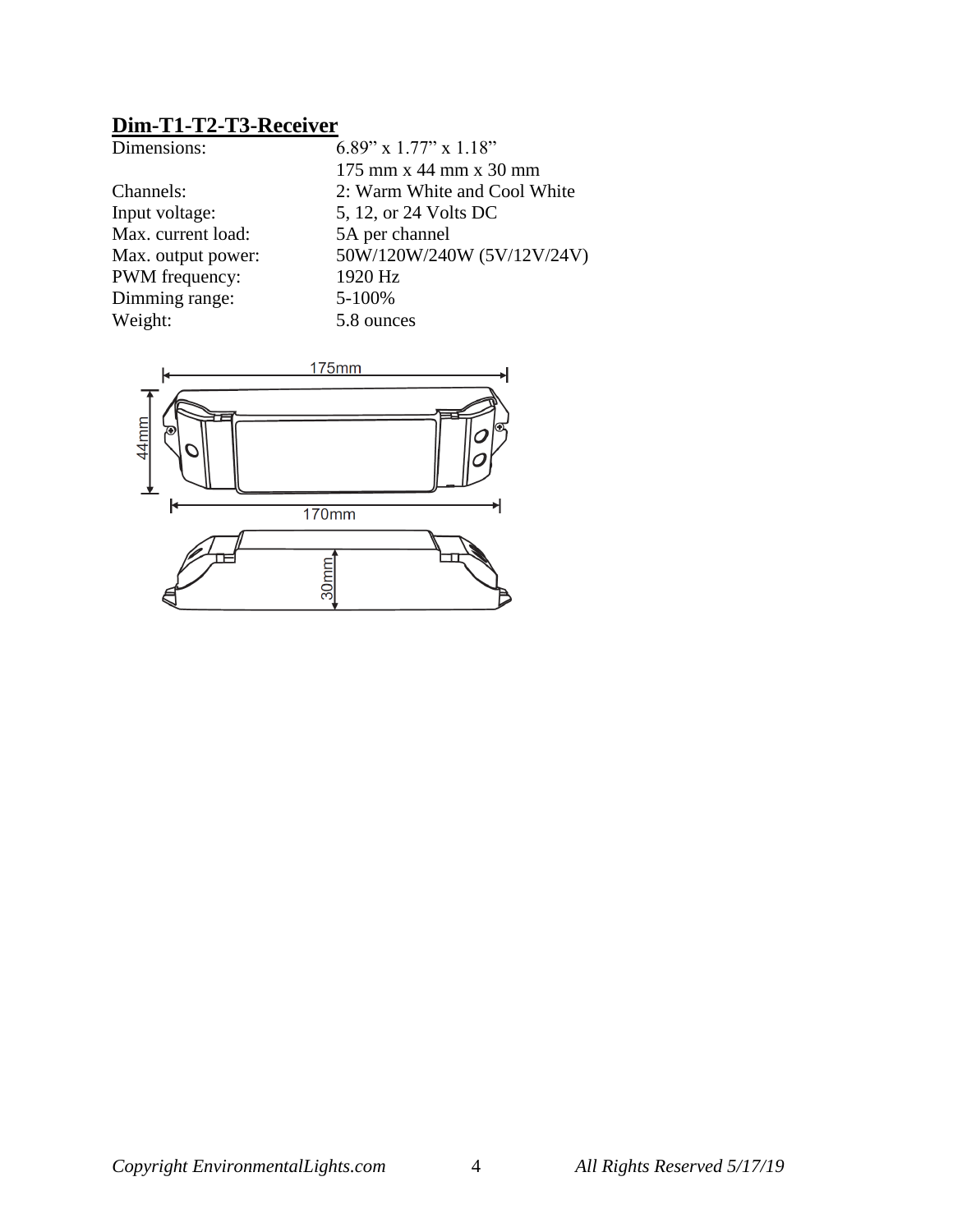## **Dim-T1-T2-T3-Receiver**

| 6.89" x 1.77" x 1.18"        |
|------------------------------|
| 175 mm x 44 mm x 30 mm       |
| 2: Warm White and Cool White |
| 5, 12, or 24 Volts DC        |
| 5A per channel               |
| 50W/120W/240W (5V/12V/24V)   |
| 1920 Hz                      |
| 5-100%                       |
| 5.8 ounces                   |
|                              |

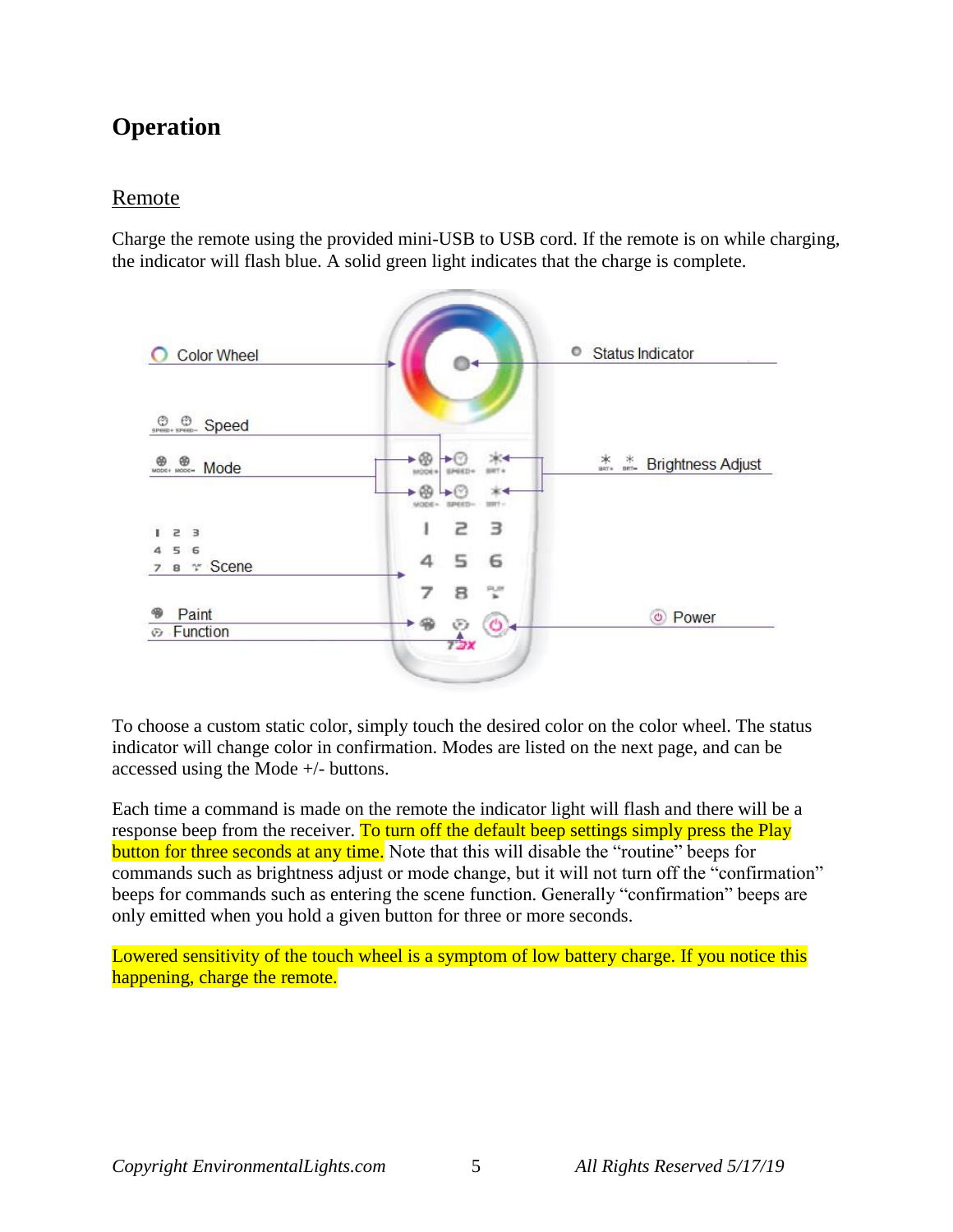## **Operation**

### Remote

Charge the remote using the provided mini-USB to USB cord. If the remote is on while charging, the indicator will flash blue. A solid green light indicates that the charge is complete.



To choose a custom static color, simply touch the desired color on the color wheel. The status indicator will change color in confirmation. Modes are listed on the next page, and can be accessed using the Mode +/- buttons.

Each time a command is made on the remote the indicator light will flash and there will be a response beep from the receiver. To turn off the default beep settings simply press the Play button for three seconds at any time. Note that this will disable the "routine" beeps for commands such as brightness adjust or mode change, but it will not turn off the "confirmation" beeps for commands such as entering the scene function. Generally "confirmation" beeps are only emitted when you hold a given button for three or more seconds.

Lowered sensitivity of the touch wheel is a symptom of low battery charge. If you notice this happening, charge the remote.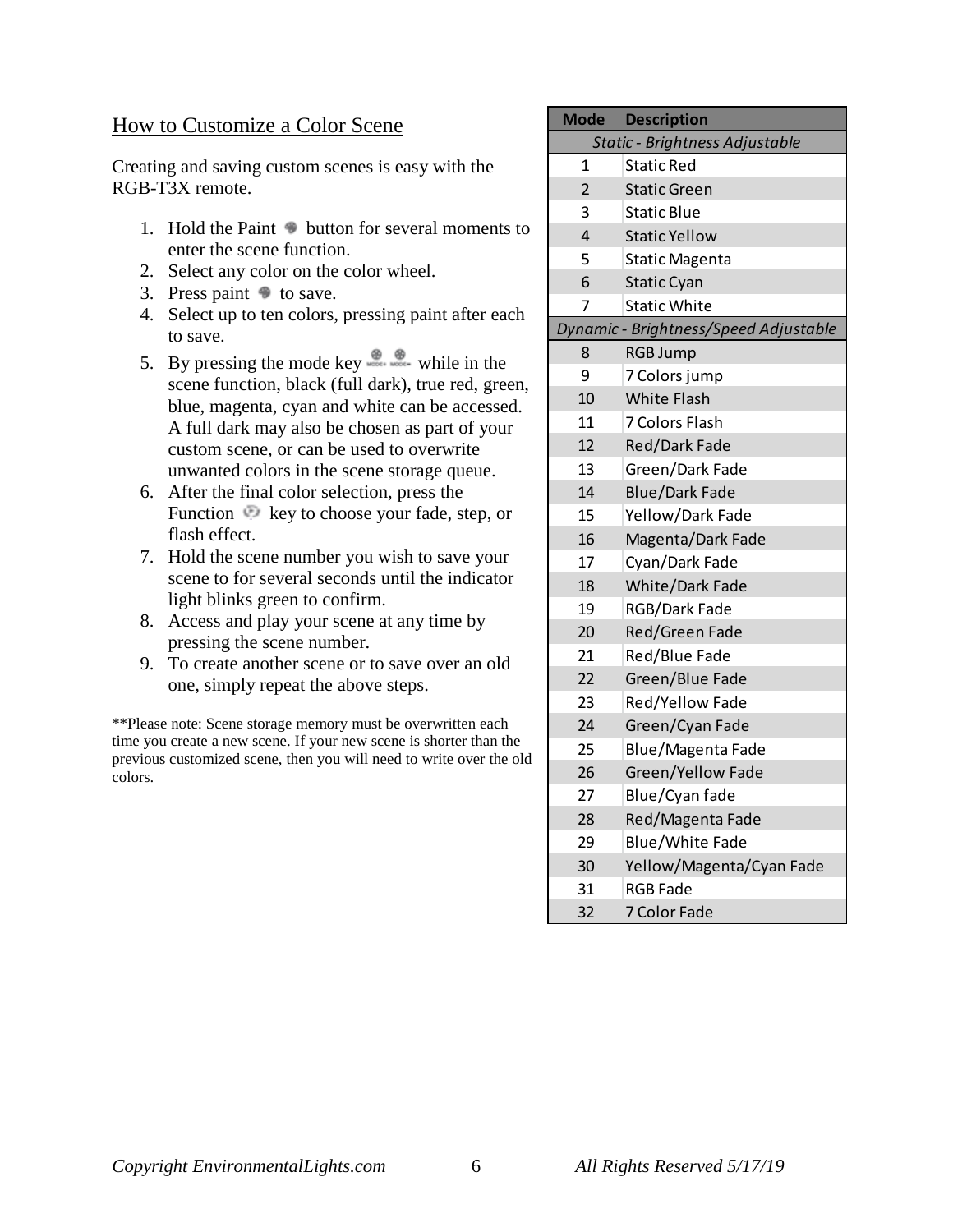#### How to Customize a Color Scene

Creating and saving custom scenes is easy with the RGB-T3X remote.

- 1. Hold the Paint  $\bullet$  button for several moments to enter the scene function.
- 2. Select any color on the color wheel.
- 3. Press paint  $\bullet$  to save.
- 4. Select up to ten colors, pressing paint after each to save.
- 5. By pressing the mode key  $\bullet$  while in the scene function, black (full dark), true red, green, blue, magenta, cyan and white can be accessed. A full dark may also be chosen as part of your custom scene, or can be used to overwrite unwanted colors in the scene storage queue.
- 6. After the final color selection, press the Function key to choose your fade, step, or flash effect.
- 7. Hold the scene number you wish to save your scene to for several seconds until the indicator light blinks green to confirm.
- 8. Access and play your scene at any time by pressing the scene number.
- 9. To create another scene or to save over an old one, simply repeat the above steps.

\*\*Please note: Scene storage memory must be overwritten each time you create a new scene. If your new scene is shorter than the previous customized scene, then you will need to write over the old colors.

| <b>Mode</b>                    | <b>Description</b>                    |  |
|--------------------------------|---------------------------------------|--|
| Static - Brightness Adjustable |                                       |  |
| 1                              | <b>Static Red</b>                     |  |
| $\overline{2}$                 | <b>Static Green</b>                   |  |
| 3                              | <b>Static Blue</b>                    |  |
| 4                              | <b>Static Yellow</b>                  |  |
| 5                              | <b>Static Magenta</b>                 |  |
| 6                              | <b>Static Cyan</b>                    |  |
| 7                              | <b>Static White</b>                   |  |
|                                | Dynamic - Brightness/Speed Adjustable |  |
| 8                              | <b>RGB Jump</b>                       |  |
| 9                              | 7 Colors jump                         |  |
| 10                             | <b>White Flash</b>                    |  |
| 11                             | <b>7 Colors Flash</b>                 |  |
| 12                             | Red/Dark Fade                         |  |
| 13                             | Green/Dark Fade                       |  |
| 14                             | <b>Blue/Dark Fade</b>                 |  |
| 15                             | Yellow/Dark Fade                      |  |
| 16                             | Magenta/Dark Fade                     |  |
| 17                             | Cyan/Dark Fade                        |  |
| 18                             | White/Dark Fade                       |  |
| 19                             | RGB/Dark Fade                         |  |
| 20                             | Red/Green Fade                        |  |
| 21                             | Red/Blue Fade                         |  |
| 22                             | Green/Blue Fade                       |  |
| 23                             | Red/Yellow Fade                       |  |
| 24                             | Green/Cyan Fade                       |  |
| 25                             | Blue/Magenta Fade                     |  |
| 26                             | Green/Yellow Fade                     |  |
| 27                             | Blue/Cyan fade                        |  |
| 28                             | Red/Magenta Fade                      |  |
| 29                             | <b>Blue/White Fade</b>                |  |
| 30                             | Yellow/Magenta/Cyan Fade              |  |
| 31                             | <b>RGB Fade</b>                       |  |
| 32                             | 7 Color Fade                          |  |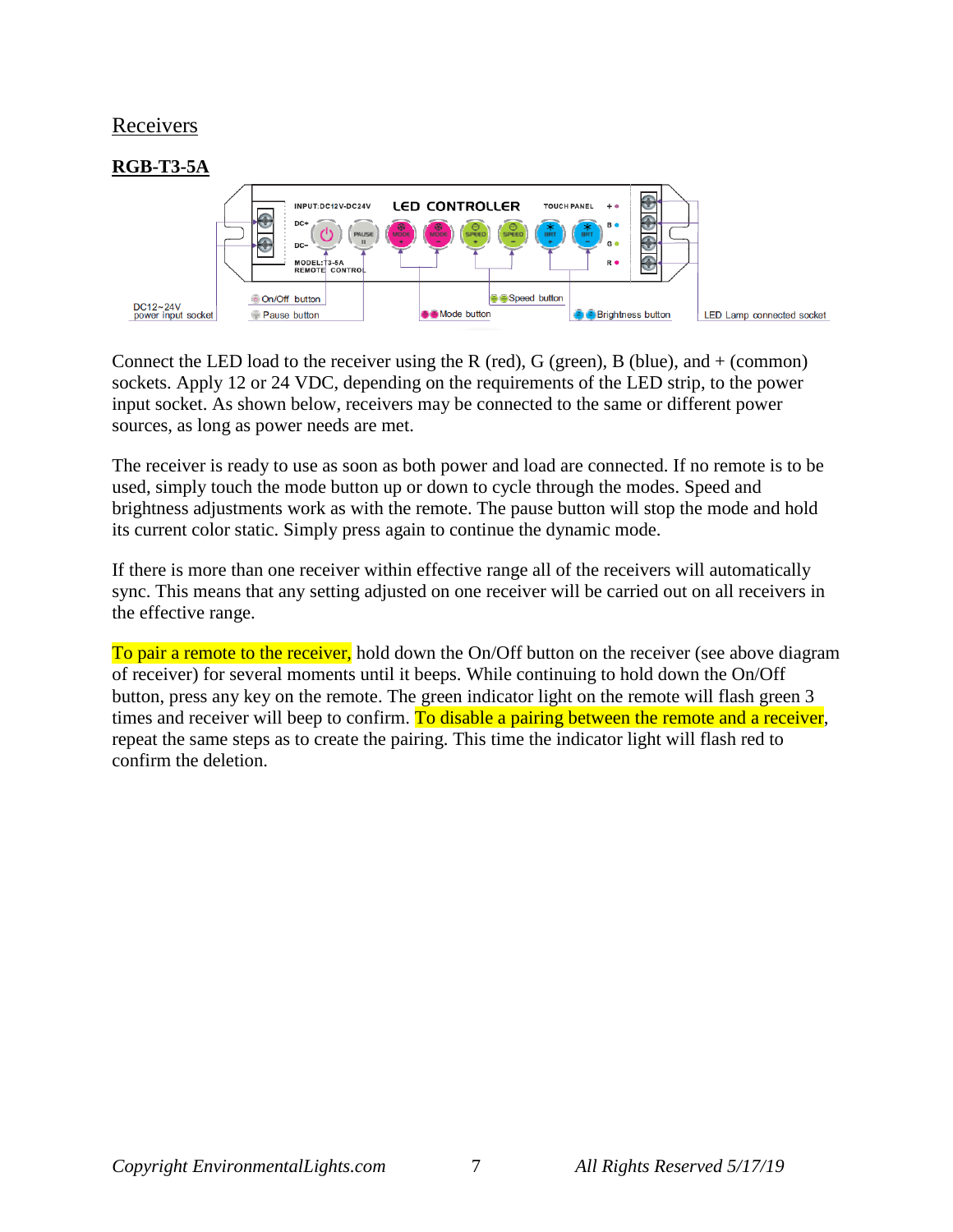#### Receivers



Connect the LED load to the receiver using the R (red), G (green), B (blue), and  $+$  (common) sockets. Apply 12 or 24 VDC, depending on the requirements of the LED strip, to the power input socket. As shown below, receivers may be connected to the same or different power sources, as long as power needs are met.

The receiver is ready to use as soon as both power and load are connected. If no remote is to be used, simply touch the mode button up or down to cycle through the modes. Speed and brightness adjustments work as with the remote. The pause button will stop the mode and hold its current color static. Simply press again to continue the dynamic mode.

If there is more than one receiver within effective range all of the receivers will automatically sync. This means that any setting adjusted on one receiver will be carried out on all receivers in the effective range.

To pair a remote to the receiver, hold down the On/Off button on the receiver (see above diagram of receiver) for several moments until it beeps. While continuing to hold down the On/Off button, press any key on the remote. The green indicator light on the remote will flash green 3 times and receiver will beep to confirm. To disable a pairing between the remote and a receiver, repeat the same steps as to create the pairing. This time the indicator light will flash red to confirm the deletion.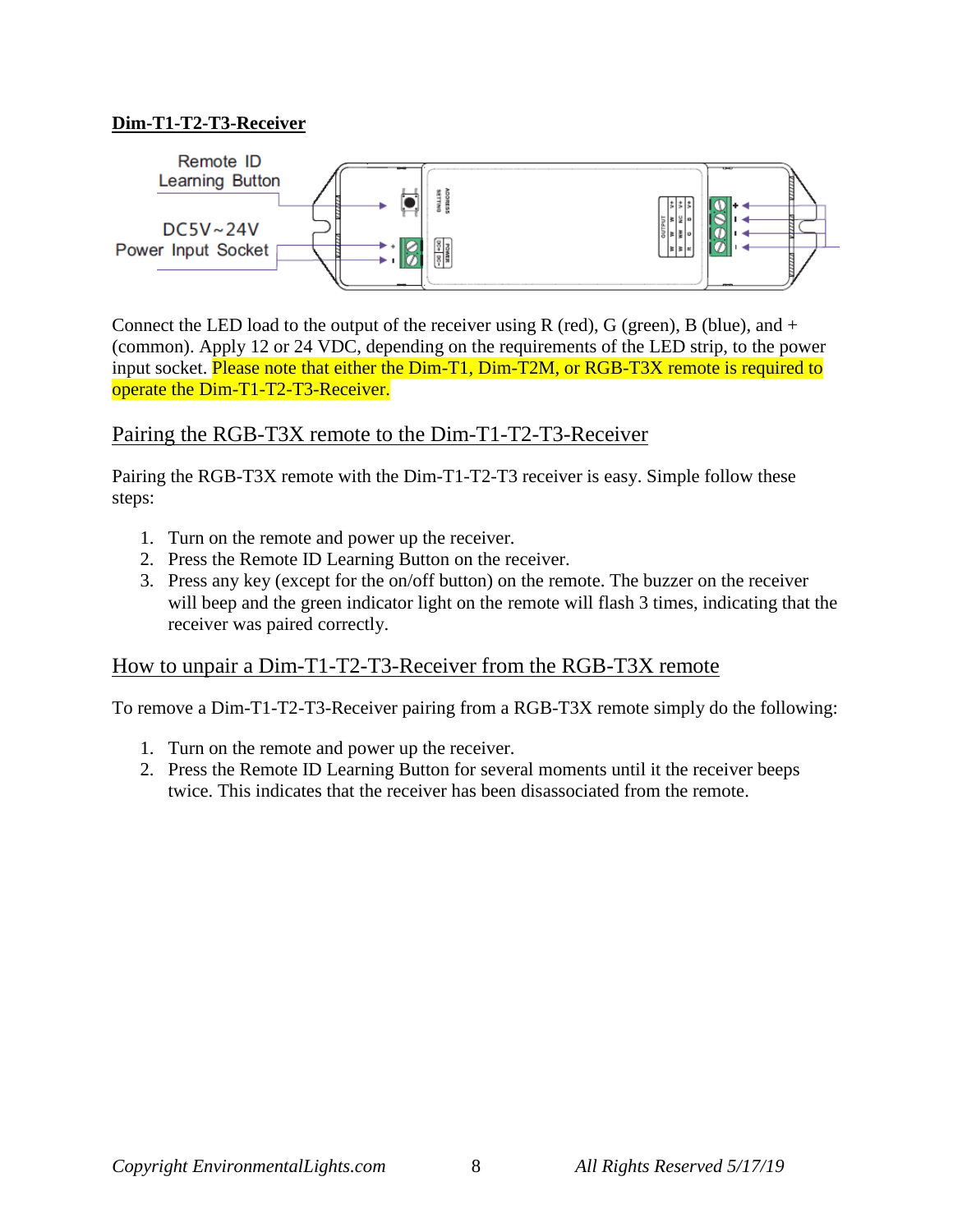#### **Dim-T1-T2-T3-Receiver**



Connect the LED load to the output of the receiver using R (red), G (green), B (blue), and  $+$ (common). Apply 12 or 24 VDC, depending on the requirements of the LED strip, to the power input socket. Please note that either the Dim-T1, Dim-T2M, or RGB-T3X remote is required to operate the Dim-T1-T2-T3-Receiver.

### Pairing the RGB-T3X remote to the Dim-T1-T2-T3-Receiver

Pairing the RGB-T3X remote with the Dim-T1-T2-T3 receiver is easy. Simple follow these steps:

- 1. Turn on the remote and power up the receiver.
- 2. Press the Remote ID Learning Button on the receiver.
- 3. Press any key (except for the on/off button) on the remote. The buzzer on the receiver will beep and the green indicator light on the remote will flash 3 times, indicating that the receiver was paired correctly.

### How to unpair a Dim-T1-T2-T3-Receiver from the RGB-T3X remote

To remove a Dim-T1-T2-T3-Receiver pairing from a RGB-T3X remote simply do the following:

- 1. Turn on the remote and power up the receiver.
- 2. Press the Remote ID Learning Button for several moments until it the receiver beeps twice. This indicates that the receiver has been disassociated from the remote.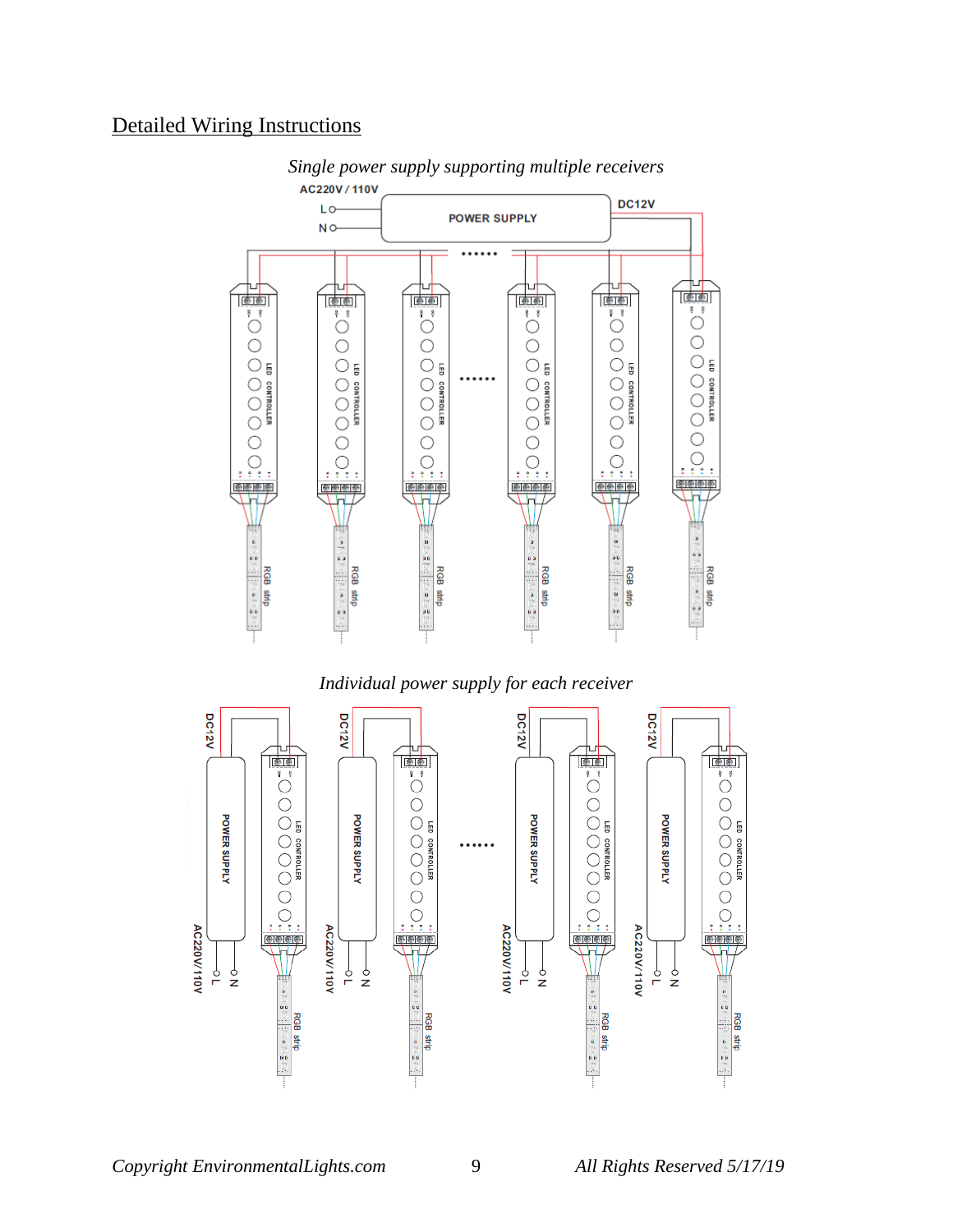### Detailed Wiring Instructions



*Single power supply supporting multiple receivers*

#### *Individual power supply for each receiver*